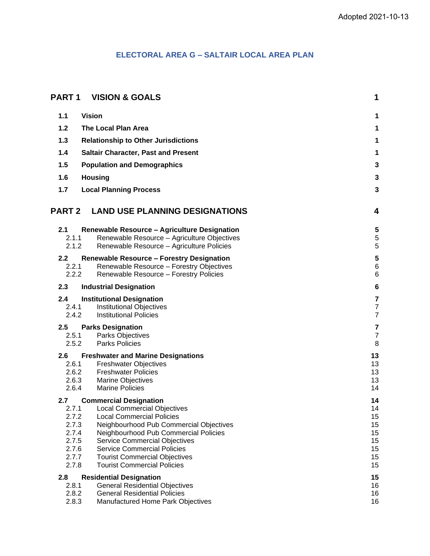# **ELECTORAL AREA G – SALTAIR LOCAL AREA PLAN**

| <b>PART 1</b>  | <b>VISION &amp; GOALS</b>                                                                    | 1                       |
|----------------|----------------------------------------------------------------------------------------------|-------------------------|
| 1.1            | <b>Vision</b>                                                                                | 1                       |
| 1.2            | <b>The Local Plan Area</b>                                                                   | 1                       |
| $1.3$          | <b>Relationship to Other Jurisdictions</b>                                                   | 1                       |
| 1.4            | <b>Saltair Character, Past and Present</b>                                                   | 1                       |
| 1.5            | <b>Population and Demographics</b>                                                           | 3                       |
| 1.6            |                                                                                              | 3                       |
|                | <b>Housing</b>                                                                               |                         |
| 1.7            | <b>Local Planning Process</b>                                                                | 3                       |
| <b>PART 2</b>  | <b>LAND USE PLANNING DESIGNATIONS</b>                                                        | 4                       |
| 2.1            | <b>Renewable Resource - Agriculture Designation</b>                                          | 5                       |
| 2.1.1          | Renewable Resource - Agriculture Objectives                                                  | 5                       |
| 2.1.2          | Renewable Resource - Agriculture Policies                                                    | 5                       |
| 2.2<br>2.2.1   | <b>Renewable Resource - Forestry Designation</b><br>Renewable Resource - Forestry Objectives | 5<br>$\,6$              |
| 2.2.2          | Renewable Resource - Forestry Policies                                                       | $\,6$                   |
| 2.3            | <b>Industrial Designation</b>                                                                | $6\phantom{1}6$         |
| 2.4            | <b>Institutional Designation</b>                                                             | $\overline{7}$          |
| 2.4.1          | <b>Institutional Objectives</b>                                                              | $\boldsymbol{7}$        |
| 2.4.2          | <b>Institutional Policies</b>                                                                | $\overline{7}$          |
| 2.5            | <b>Parks Designation</b>                                                                     | $\overline{\mathbf{7}}$ |
| 2.5.1<br>2.5.2 | Parks Objectives<br><b>Parks Policies</b>                                                    | $\overline{7}$<br>8     |
|                |                                                                                              |                         |
| 2.6<br>2.6.1   | <b>Freshwater and Marine Designations</b><br><b>Freshwater Objectives</b>                    | 13<br>13                |
| 2.6.2          | <b>Freshwater Policies</b>                                                                   | 13                      |
| 2.6.3          | <b>Marine Objectives</b>                                                                     | 13                      |
| 2.6.4          | <b>Marine Policies</b>                                                                       | 14                      |
| 2.7            | <b>Commercial Designation</b>                                                                | 14                      |
| 2.7.1          | <b>Local Commercial Objectives</b>                                                           | 14                      |
| 2.7.2          | <b>Local Commercial Policies</b>                                                             | 15                      |
| 2.7.3          | Neighbourhood Pub Commercial Objectives                                                      | 15                      |
| 2.7.4          | Neighbourhood Pub Commercial Policies                                                        | 15                      |
| 2.7.5<br>2.7.6 | <b>Service Commercial Objectives</b><br><b>Service Commercial Policies</b>                   | 15<br>15                |
| 2.7.7          | <b>Tourist Commercial Objectives</b>                                                         | 15                      |
| 2.7.8          | <b>Tourist Commercial Policies</b>                                                           | 15                      |
| 2.8            | <b>Residential Designation</b>                                                               | 15                      |
| 2.8.1          | <b>General Residential Objectives</b>                                                        | 16                      |
| 2.8.2          | <b>General Residential Policies</b>                                                          | 16                      |
| 2.8.3          | Manufactured Home Park Objectives                                                            | 16                      |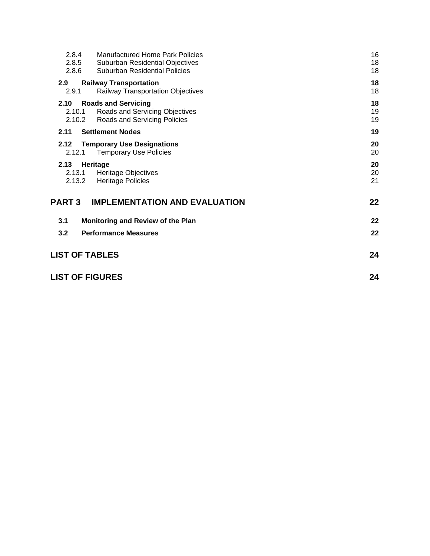| 2.8.4<br>2.8.5<br>2.8.6  | <b>Manufactured Home Park Policies</b><br>Suburban Residential Objectives<br>Suburban Residential Policies | 16<br>18<br>18 |
|--------------------------|------------------------------------------------------------------------------------------------------------|----------------|
| 2.9<br>2.9.1             | <b>Railway Transportation</b><br><b>Railway Transportation Objectives</b>                                  | 18<br>18       |
| 2.10<br>2.10.1<br>2.10.2 | <b>Roads and Servicing</b><br>Roads and Servicing Objectives<br>Roads and Servicing Policies               | 18<br>19<br>19 |
| 2.11                     | <b>Settlement Nodes</b>                                                                                    | 19             |
| 2.12<br>2.12.1           | <b>Temporary Use Designations</b><br><b>Temporary Use Policies</b>                                         | 20<br>20       |
| 2.13<br>2.13.1<br>2.13.2 | Heritage<br><b>Heritage Objectives</b><br><b>Heritage Policies</b>                                         | 20<br>20<br>21 |
| <b>PART 3</b>            | <b>IMPLEMENTATION AND EVALUATION</b>                                                                       | 22             |
| 3.1                      | Monitoring and Review of the Plan                                                                          | 22             |
| 3.2                      | <b>Performance Measures</b>                                                                                | 22             |
| <b>LIST OF TABLES</b>    |                                                                                                            | 24             |
| <b>LIST OF FIGURES</b>   |                                                                                                            |                |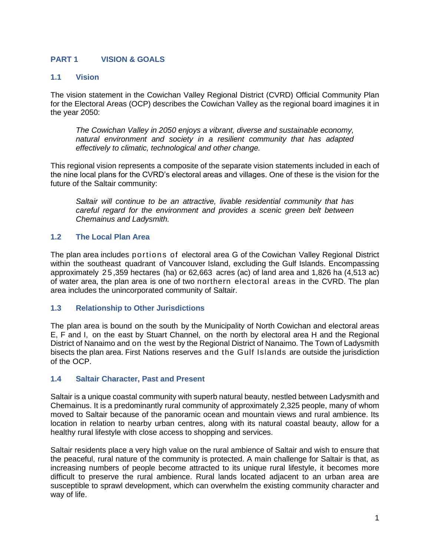## <span id="page-2-0"></span>**PART 1 VISION & GOALS**

### <span id="page-2-1"></span>**1.1 Vision**

The vision statement in the Cowichan Valley Regional District (CVRD) Official Community Plan for the Electoral Areas (OCP) describes the Cowichan Valley as the regional board imagines it in the year 2050:

*The Cowichan Valley in 2050 enjoys a vibrant, diverse and sustainable economy, natural environment and society in a resilient community that has adapted effectively to climatic, technological and other change.*

This regional vision represents a composite of the separate vision statements included in each of the nine local plans for the CVRD's electoral areas and villages. One of these is the vision for the future of the Saltair community:

*Saltair will continue to be an attractive, livable residential community that has careful regard for the environment and provides a scenic green belt between Chemainus and Ladysmith.*

### <span id="page-2-2"></span>**1.2 The Local Plan Area**

The plan area includes portions of electoral area G of the Cowichan Valley Regional District within the southeast quadrant of Vancouver Island, excluding the Gulf Islands. Encompassing approximately 2 5 ,359 hectares (ha) or 62,663 acres (ac) of land area and 1,826 ha (4,513 ac) of water area, the plan area is one of two northern electoral areas in the CVRD. The plan area includes the unincorporated community of Saltair.

#### <span id="page-2-3"></span>**1.3 Relationship to Other Jurisdictions**

The plan area is bound on the south by the Municipality of North Cowichan and electoral areas E, F and I, on the east by Stuart Channel, on the north by electoral area H and the Regional District of Nanaimo and on the west by the Regional District of Nanaimo. The Town of Ladysmith bisects the plan area. First Nations reserves and the Gulf Islands are outside the jurisdiction of the OCP.

### <span id="page-2-4"></span>**1.4 Saltair Character, Past and Present**

Saltair is a unique coastal community with superb natural beauty, nestled between Ladysmith and Chemainus. It is a predominantly rural community of approximately 2,325 people, many of whom moved to Saltair because of the panoramic ocean and mountain views and rural ambience. Its location in relation to nearby urban centres, along with its natural coastal beauty, allow for a healthy rural lifestyle with close access to shopping and services.

Saltair residents place a very high value on the rural ambience of Saltair and wish to ensure that the peaceful, rural nature of the community is protected. A main challenge for Saltair is that, as increasing numbers of people become attracted to its unique rural lifestyle, it becomes more difficult to preserve the rural ambience. Rural lands located adjacent to an urban area are susceptible to sprawl development, which can overwhelm the existing community character and way of life.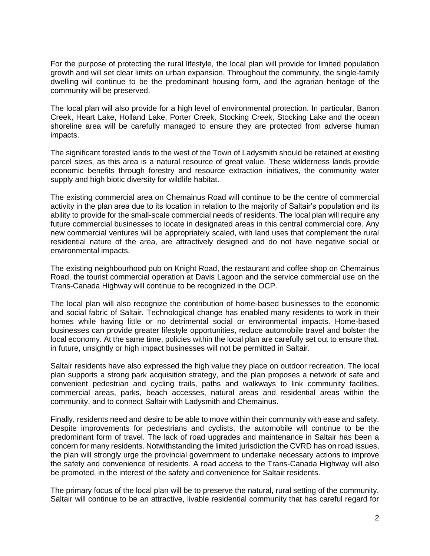For the purpose of protecting the rural lifestyle, the local plan will provide for limited population growth and will set clear limits on urban expansion. Throughout the community, the single-family dwelling will continue to be the predominant housing form, and the agrarian heritage of the community will be preserved.

The local plan will also provide for a high level of environmental protection. In particular, Banon Creek, Heart Lake, Holland Lake, Porter Creek, Stocking Creek, Stocking Lake and the ocean shoreline area will be carefully managed to ensure they are protected from adverse human impacts.

The significant forested lands to the west of the Town of Ladysmith should be retained at existing parcel sizes, as this area is a natural resource of great value. These wilderness lands provide economic benefits through forestry and resource extraction initiatives, the community water supply and high biotic diversity for wildlife habitat.

The existing commercial area on Chemainus Road will continue to be the centre of commercial activity in the plan area due to its location in relation to the majority of Saltair's population and its ability to provide for the small-scale commercial needs of residents. The local plan will require any future commercial businesses to locate in designated areas in this central commercial core. Any new commercial ventures will be appropriately scaled, with land uses that complement the rural residential nature of the area, are attractively designed and do not have negative social or environmental impacts.

The existing neighbourhood pub on Knight Road, the restaurant and coffee shop on Chemainus Road, the tourist commercial operation at Davis Lagoon and the service commercial use on the Trans-Canada Highway will continue to be recognized in the OCP.

The local plan will also recognize the contribution of home-based businesses to the economic and social fabric of Saltair. Technological change has enabled many residents to work in their homes while having little or no detrimental social or environmental impacts. Home-based businesses can provide greater lifestyle opportunities, reduce automobile travel and bolster the local economy. At the same time, policies within the local plan are carefully set out to ensure that, in future, unsightly or high impact businesses will not be permitted in Saltair.

Saltair residents have also expressed the high value they place on outdoor recreation. The local plan supports a strong park acquisition strategy, and the plan proposes a network of safe and convenient pedestrian and cycling trails, paths and walkways to link community facilities, commercial areas, parks, beach accesses, natural areas and residential areas within the community, and to connect Saltair with Ladysmith and Chemainus.

Finally, residents need and desire to be able to move within their community with ease and safety. Despite improvements for pedestrians and cyclists, the automobile will continue to be the predominant form of travel. The lack of road upgrades and maintenance in Saltair has been a concern for many residents. Notwithstanding the limited jurisdiction the CVRD has on road issues, the plan will strongly urge the provincial government to undertake necessary actions to improve the safety and convenience of residents. A road access to the Trans-Canada Highway will also be promoted, in the interest of the safety and convenience for Saltair residents.

The primary focus of the local plan will be to preserve the natural, rural setting of the community. Saltair will continue to be an attractive, livable residential community that has careful regard for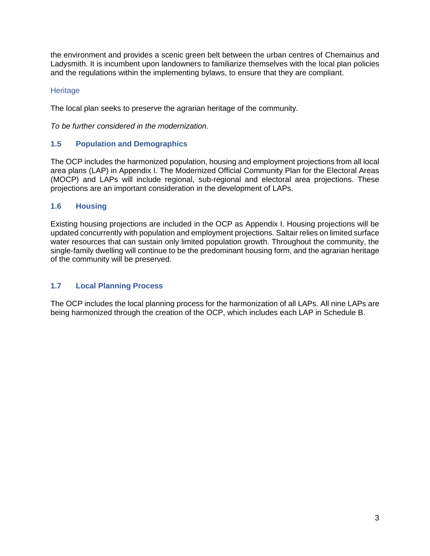the environment and provides a scenic green belt between the urban centres of Chemainus and Ladysmith. It is incumbent upon landowners to familiarize themselves with the local plan policies and the regulations within the implementing bylaws, to ensure that they are compliant.

### **Heritage**

The local plan seeks to preserve the agrarian heritage of the community.

*To be further considered in the modernization.*

# <span id="page-4-0"></span>**1.5 Population and Demographics**

The OCP includes the harmonized population, housing and employment projections from all local area plans (LAP) in Appendix I. The Modernized Official Community Plan for the Electoral Areas (MOCP) and LAPs will include regional, sub-regional and electoral area projections. These projections are an important consideration in the development of LAPs.

## <span id="page-4-1"></span>**1.6 Housing**

Existing housing projections are included in the OCP as Appendix I. Housing projections will be updated concurrently with population and employment projections. Saltair relies on limited surface water resources that can sustain only limited population growth. Throughout the community, the single-family dwelling will continue to be the predominant housing form, and the agrarian heritage of the community will be preserved.

# <span id="page-4-2"></span>**1.7 Local Planning Process**

The OCP includes the local planning process for the harmonization of all LAPs. All nine LAPs are being harmonized through the creation of the OCP, which includes each LAP in Schedule B.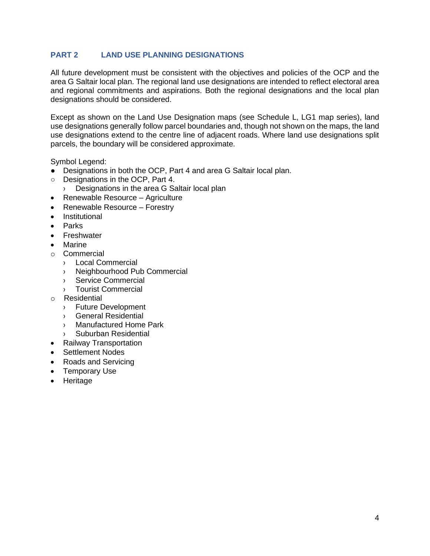## <span id="page-5-0"></span>**PART 2 LAND USE PLANNING DESIGNATIONS**

All future development must be consistent with the objectives and policies of the OCP and the area G Saltair local plan. The regional land use designations are intended to reflect electoral area and regional commitments and aspirations. Both the regional designations and the local plan designations should be considered.

Except as shown on the Land Use Designation maps (see Schedule L, LG1 map series), land use designations generally follow parcel boundaries and, though not shown on the maps, the land use designations extend to the centre line of adjacent roads. Where land use designations split parcels, the boundary will be considered approximate.

Symbol Legend:

- Designations in both the OCP, Part 4 and area G Saltair local plan.
- Designations in the OCP, Part 4.
	- › Designations in the area G Saltair local plan
- Renewable Resource Agriculture
- Renewable Resource Forestry
- Institutional
- Parks
- Freshwater
- Marine
- o Commercial
	- › Local Commercial
	- › Neighbourhood Pub Commercial
	- › Service Commercial
	- › Tourist Commercial
- o Residential
	- › Future Development
	- › General Residential
	- › Manufactured Home Park
	- › Suburban Residential
- Railway Transportation
- Settlement Nodes
- Roads and Servicing
- Temporary Use
- Heritage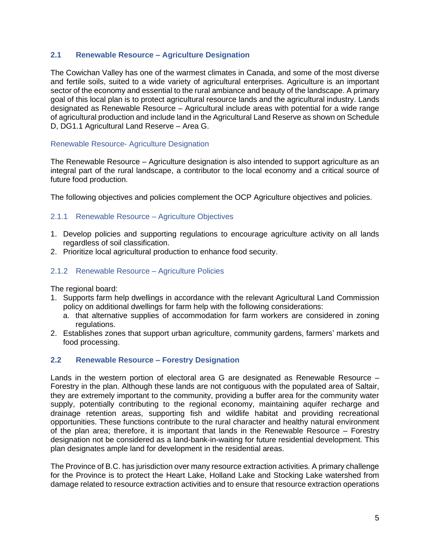### <span id="page-6-0"></span>**2.1 Renewable Resource – Agriculture Designation**

The Cowichan Valley has one of the warmest climates in Canada, and some of the most diverse and fertile soils, suited to a wide variety of agricultural enterprises. Agriculture is an important sector of the economy and essential to the rural ambiance and beauty of the landscape. A primary goal of this local plan is to protect agricultural resource lands and the agricultural industry. Lands designated as Renewable Resource – Agricultural include areas with potential for a wide range of agricultural production and include land in the Agricultural Land Reserve as shown on Schedule D, DG1.1 Agricultural Land Reserve – Area G.

### Renewable Resource- Agriculture Designation

The Renewable Resource – Agriculture designation is also intended to support agriculture as an integral part of the rural landscape, a contributor to the local economy and a critical source of future food production.

The following objectives and policies complement the OCP Agriculture objectives and policies.

### <span id="page-6-1"></span>2.1.1 Renewable Resource – Agriculture Objectives

- 1. Develop policies and supporting regulations to encourage agriculture activity on all lands regardless of soil classification.
- 2. Prioritize local agricultural production to enhance food security.

### <span id="page-6-2"></span>2.1.2 Renewable Resource – Agriculture Policies

The regional board:

- 1. Supports farm help dwellings in accordance with the relevant Agricultural Land Commission policy on additional dwellings for farm help with the following considerations:
	- a. that alternative supplies of accommodation for farm workers are considered in zoning regulations.
- 2. Establishes zones that support urban agriculture, community gardens, farmers' markets and food processing.

### <span id="page-6-3"></span>**2.2 Renewable Resource – Forestry Designation**

Lands in the western portion of electoral area G are designated as Renewable Resource – Forestry in the plan. Although these lands are not contiguous with the populated area of Saltair, they are extremely important to the community, providing a buffer area for the community water supply, potentially contributing to the regional economy, maintaining aquifer recharge and drainage retention areas, supporting fish and wildlife habitat and providing recreational opportunities. These functions contribute to the rural character and healthy natural environment of the plan area; therefore, it is important that lands in the Renewable Resource – Forestry designation not be considered as a land-bank-in-waiting for future residential development. This plan designates ample land for development in the residential areas.

The Province of B.C. has jurisdiction over many resource extraction activities. A primary challenge for the Province is to protect the Heart Lake, Holland Lake and Stocking Lake watershed from damage related to resource extraction activities and to ensure that resource extraction operations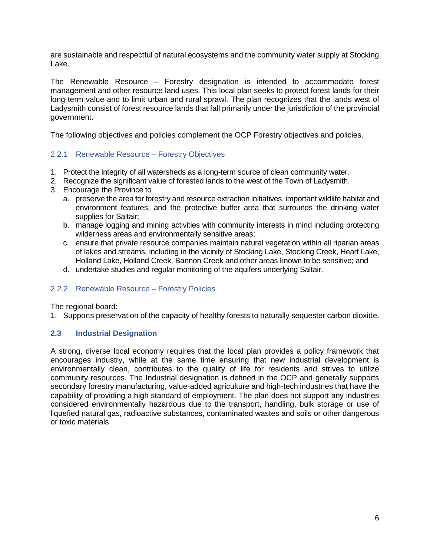are sustainable and respectful of natural ecosystems and the community water supply at Stocking Lake.

The Renewable Resource – Forestry designation is intended to accommodate forest management and other resource land uses. This local plan seeks to protect forest lands for their long-term value and to limit urban and rural sprawl. The plan recognizes that the lands west of Ladysmith consist of forest resource lands that fall primarily under the jurisdiction of the provincial government.

The following objectives and policies complement the OCP Forestry objectives and policies.

# <span id="page-7-0"></span>2.2.1 Renewable Resource – Forestry Objectives

- 1. Protect the integrity of all watersheds as a long-term source of clean community water.
- 2. Recognize the significant value of forested lands to the west of the Town of Ladysmith.
- 3. Encourage the Province to
	- a. preserve the area for forestry and resource extraction initiatives, important wildlife habitat and environment features, and the protective buffer area that surrounds the drinking water supplies for Saltair;
	- b. manage logging and mining activities with community interests in mind including protecting wilderness areas and environmentally sensitive areas;
	- c. ensure that private resource companies maintain natural vegetation within all riparian areas of lakes and streams, including in the vicinity of Stocking Lake, Stocking Creek, Heart Lake, Holland Lake, Holland Creek, Bannon Creek and other areas known to be sensitive; and
	- d. undertake studies and regular monitoring of the aquifers underlying Saltair.

### <span id="page-7-1"></span>2.2.2 Renewable Resource – Forestry Policies

The regional board:

1. Supports preservation of the capacity of healthy forests to naturally sequester carbon dioxide.

### <span id="page-7-2"></span>**2.3 Industrial Designation**

A strong, diverse local economy requires that the local plan provides a policy framework that encourages industry, while at the same time ensuring that new industrial development is environmentally clean, contributes to the quality of life for residents and strives to utilize community resources. The Industrial designation is defined in the OCP and generally supports secondary forestry manufacturing, value-added agriculture and high-tech industries that have the capability of providing a high standard of employment. The plan does not support any industries considered environmentally hazardous due to the transport, handling, bulk storage or use of liquefied natural gas, radioactive substances, contaminated wastes and soils or other dangerous or toxic materials.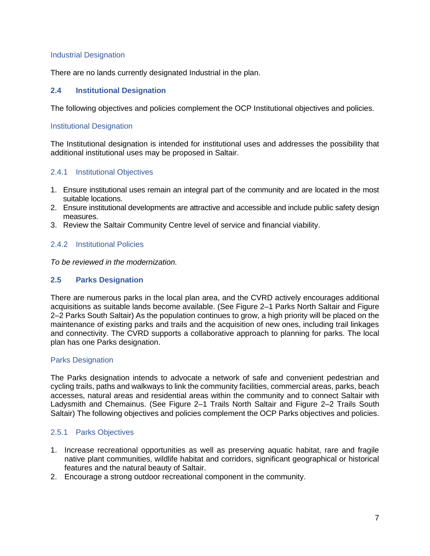### Industrial Designation

There are no lands currently designated Industrial in the plan.

### <span id="page-8-0"></span>**2.4 Institutional Designation**

The following objectives and policies complement the OCP Institutional objectives and policies.

### Institutional Designation

The Institutional designation is intended for institutional uses and addresses the possibility that additional institutional uses may be proposed in Saltair.

### <span id="page-8-1"></span>2.4.1 Institutional Objectives

- 1. Ensure institutional uses remain an integral part of the community and are located in the most suitable locations.
- 2. Ensure institutional developments are attractive and accessible and include public safety design measures.
- 3. Review the Saltair Community Centre level of service and financial viability.

### <span id="page-8-2"></span>2.4.2 Institutional Policies

*To be reviewed in the modernization.*

### <span id="page-8-3"></span>**2.5 Parks Designation**

There are numerous parks in the local plan area, and the CVRD actively encourages additional acquisitions as suitable lands become available. (See Figure 2–1 Parks North Saltair and Figure 2–2 Parks South Saltair) As the population continues to grow, a high priority will be placed on the maintenance of existing parks and trails and the acquisition of new ones, including trail linkages and connectivity. The CVRD supports a collaborative approach to planning for parks. The local plan has one Parks designation.

#### Parks Designation

The Parks designation intends to advocate a network of safe and convenient pedestrian and cycling trails, paths and walkways to link the community facilities, commercial areas, parks, beach accesses, natural areas and residential areas within the community and to connect Saltair with Ladysmith and Chemainus. (See Figure 2–1 Trails North Saltair and Figure 2–2 Trails South Saltair) The following objectives and policies complement the OCP Parks objectives and policies.

### <span id="page-8-4"></span>2.5.1 Parks Objectives

- 1. Increase recreational opportunities as well as preserving aquatic habitat, rare and fragile native plant communities, wildlife habitat and corridors, significant geographical or historical features and the natural beauty of Saltair.
- 2. Encourage a strong outdoor recreational component in the community.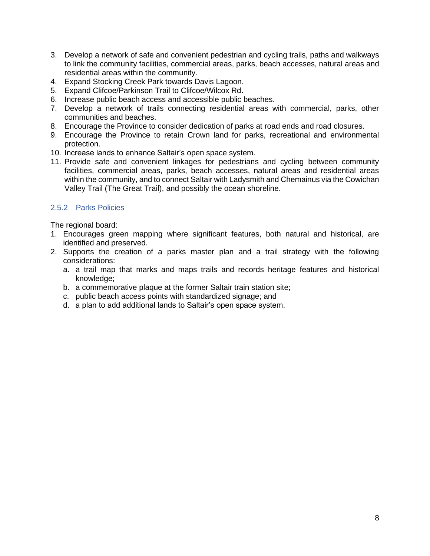- 3. Develop a network of safe and convenient pedestrian and cycling trails, paths and walkways to link the community facilities, commercial areas, parks, beach accesses, natural areas and residential areas within the community.
- 4. Expand Stocking Creek Park towards Davis Lagoon.
- 5. Expand Clifcoe/Parkinson Trail to Clifcoe/Wilcox Rd.
- 6. Increase public beach access and accessible public beaches.
- 7. Develop a network of trails connecting residential areas with commercial, parks, other communities and beaches.
- 8. Encourage the Province to consider dedication of parks at road ends and road closures.
- 9. Encourage the Province to retain Crown land for parks, recreational and environmental protection.
- 10. Increase lands to enhance Saltair's open space system.
- 11. Provide safe and convenient linkages for pedestrians and cycling between community facilities, commercial areas, parks, beach accesses, natural areas and residential areas within the community, and to connect Saltair with Ladysmith and Chemainus via the Cowichan Valley Trail (The Great Trail), and possibly the ocean shoreline.

# <span id="page-9-0"></span>2.5.2 Parks Policies

The regional board:

- 1. Encourages green mapping where significant features, both natural and historical, are identified and preserved.
- 2. Supports the creation of a parks master plan and a trail strategy with the following considerations:
	- a. a trail map that marks and maps trails and records heritage features and historical knowledge;
	- b. a commemorative plaque at the former Saltair train station site;
	- c. public beach access points with standardized signage; and
	- d. a plan to add additional lands to Saltair's open space system.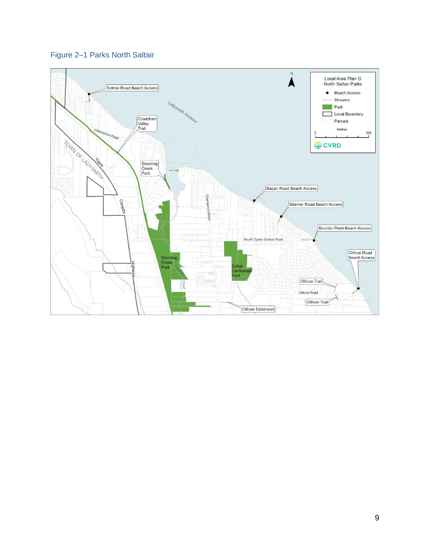

# Figure 2-1 Parks North Saltair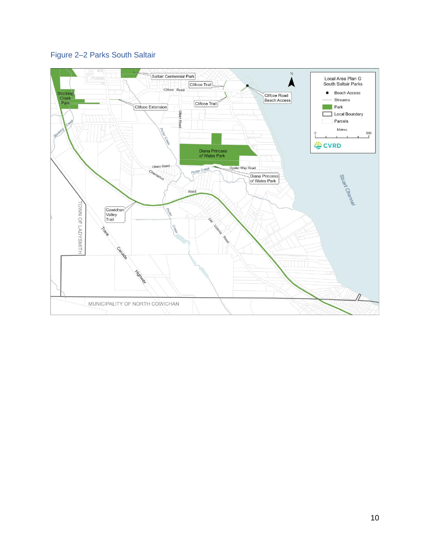# <span id="page-11-0"></span>Figure 2-2 Parks South Saltair

<span id="page-11-1"></span>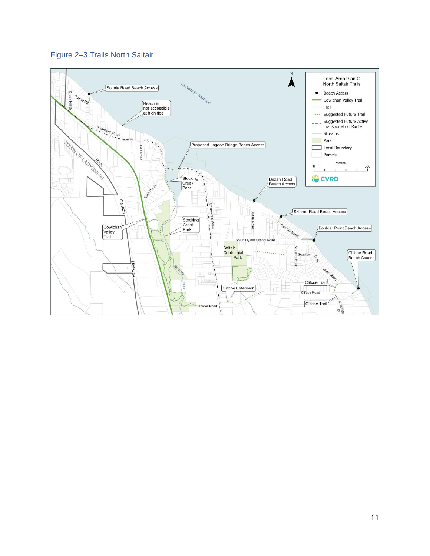

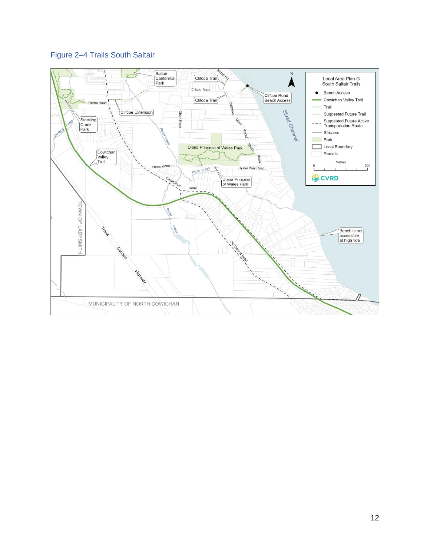# <span id="page-13-0"></span>Figure 2-4 Trails South Saltair

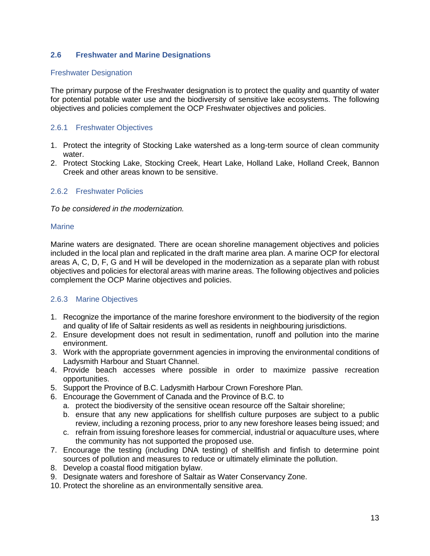### <span id="page-14-0"></span>**2.6 Freshwater and Marine Designations**

### Freshwater Designation

The primary purpose of the Freshwater designation is to protect the quality and quantity of water for potential potable water use and the biodiversity of sensitive lake ecosystems. The following objectives and policies complement the OCP Freshwater objectives and policies.

### <span id="page-14-1"></span>2.6.1 Freshwater Objectives

- 1. Protect the integrity of Stocking Lake watershed as a long-term source of clean community water.
- 2. Protect Stocking Lake, Stocking Creek, Heart Lake, Holland Lake, Holland Creek, Bannon Creek and other areas known to be sensitive.

### <span id="page-14-2"></span>2.6.2 Freshwater Policies

*To be considered in the modernization.*

#### **Marine**

Marine waters are designated. There are ocean shoreline management objectives and policies included in the local plan and replicated in the draft marine area plan. A marine OCP for electoral areas A, C, D, F, G and H will be developed in the modernization as a separate plan with robust objectives and policies for electoral areas with marine areas. The following objectives and policies complement the OCP Marine objectives and policies.

### <span id="page-14-3"></span>2.6.3 Marine Objectives

- 1. Recognize the importance of the marine foreshore environment to the biodiversity of the region and quality of life of Saltair residents as well as residents in neighbouring jurisdictions.
- 2. Ensure development does not result in sedimentation, runoff and pollution into the marine environment.
- 3. Work with the appropriate government agencies in improving the environmental conditions of Ladysmith Harbour and Stuart Channel.
- 4. Provide beach accesses where possible in order to maximize passive recreation opportunities.
- 5. Support the Province of B.C. Ladysmith Harbour Crown Foreshore Plan.
- 6. Encourage the Government of Canada and the Province of B.C. to
	- a. protect the biodiversity of the sensitive ocean resource off the Saltair shoreline;
	- b. ensure that any new applications for shellfish culture purposes are subject to a public review, including a rezoning process, prior to any new foreshore leases being issued; and
	- c. refrain from issuing foreshore leases for commercial, industrial or aquaculture uses, where the community has not supported the proposed use.
- 7. Encourage the testing (including DNA testing) of shellfish and finfish to determine point sources of pollution and measures to reduce or ultimately eliminate the pollution.
- 8. Develop a coastal flood mitigation bylaw.
- 9. Designate waters and foreshore of Saltair as Water Conservancy Zone.
- 10. Protect the shoreline as an environmentally sensitive area.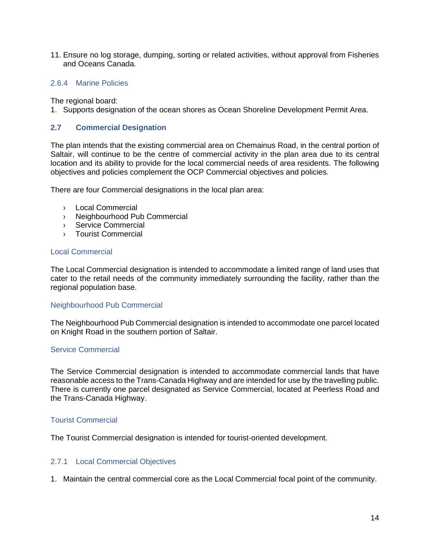11. Ensure no log storage, dumping, sorting or related activities, without approval from Fisheries and Oceans Canada.

### <span id="page-15-0"></span>2.6.4 Marine Policies

The regional board:

1. Supports designation of the ocean shores as Ocean Shoreline Development Permit Area.

### <span id="page-15-1"></span>**2.7 Commercial Designation**

The plan intends that the existing commercial area on Chemainus Road, in the central portion of Saltair, will continue to be the centre of commercial activity in the plan area due to its central location and its ability to provide for the local commercial needs of area residents. The following objectives and policies complement the OCP Commercial objectives and policies.

There are four Commercial designations in the local plan area:

- › Local Commercial
- › Neighbourhood Pub Commercial
- › Service Commercial
- › Tourist Commercial

#### Local Commercial

The Local Commercial designation is intended to accommodate a limited range of land uses that cater to the retail needs of the community immediately surrounding the facility, rather than the regional population base.

#### Neighbourhood Pub Commercial

The Neighbourhood Pub Commercial designation is intended to accommodate one parcel located on Knight Road in the southern portion of Saltair.

#### Service Commercial

The Service Commercial designation is intended to accommodate commercial lands that have reasonable access to the Trans-Canada Highway and are intended for use by the travelling public. There is currently one parcel designated as Service Commercial, located at Peerless Road and the Trans-Canada Highway.

#### Tourist Commercial

The Tourist Commercial designation is intended for tourist-oriented development.

### <span id="page-15-2"></span>2.7.1 Local Commercial Objectives

1. Maintain the central commercial core as the Local Commercial focal point of the community.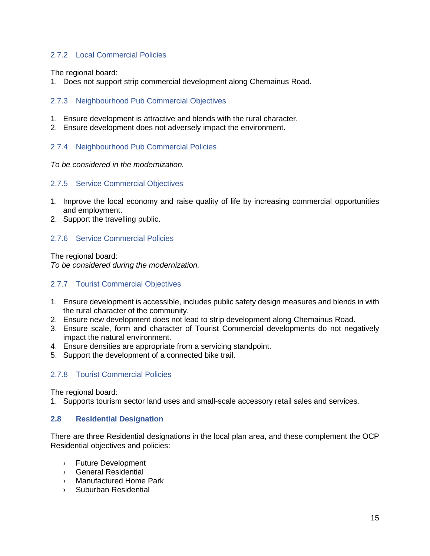## <span id="page-16-0"></span>2.7.2 Local Commercial Policies

The regional board:

1. Does not support strip commercial development along Chemainus Road.

### <span id="page-16-1"></span>2.7.3 Neighbourhood Pub Commercial Objectives

- 1. Ensure development is attractive and blends with the rural character.
- 2. Ensure development does not adversely impact the environment.

### <span id="page-16-2"></span>2.7.4 Neighbourhood Pub Commercial Policies

*To be considered in the modernization.*

### <span id="page-16-3"></span>2.7.5 Service Commercial Objectives

- 1. Improve the local economy and raise quality of life by increasing commercial opportunities and employment.
- 2. Support the travelling public.

### <span id="page-16-4"></span>2.7.6 Service Commercial Policies

The regional board: *To be considered during the modernization.*

### <span id="page-16-5"></span>2.7.7 Tourist Commercial Objectives

- 1. Ensure development is accessible, includes public safety design measures and blends in with the rural character of the community.
- 2. Ensure new development does not lead to strip development along Chemainus Road.
- 3. Ensure scale, form and character of Tourist Commercial developments do not negatively impact the natural environment.
- 4. Ensure densities are appropriate from a servicing standpoint.
- 5. Support the development of a connected bike trail.

### <span id="page-16-6"></span>2.7.8 Tourist Commercial Policies

The regional board:

1. Supports tourism sector land uses and small-scale accessory retail sales and services.

#### <span id="page-16-7"></span>**2.8 Residential Designation**

There are three Residential designations in the local plan area, and these complement the OCP Residential objectives and policies:

- › Future Development
- › General Residential
- › Manufactured Home Park
- › Suburban Residential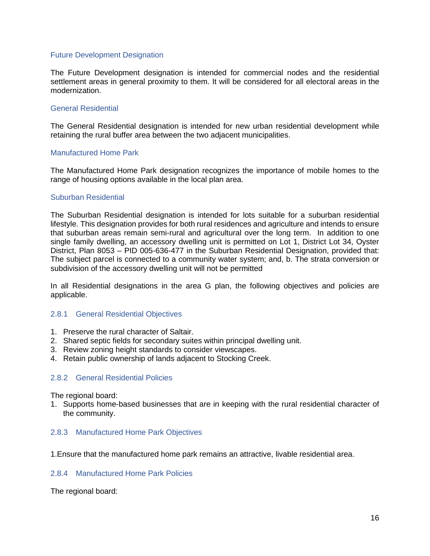#### Future Development Designation

The Future Development designation is intended for commercial nodes and the residential settlement areas in general proximity to them. It will be considered for all electoral areas in the modernization.

#### General Residential

The General Residential designation is intended for new urban residential development while retaining the rural buffer area between the two adjacent municipalities.

#### Manufactured Home Park

The Manufactured Home Park designation recognizes the importance of mobile homes to the range of housing options available in the local plan area.

#### Suburban Residential

The Suburban Residential designation is intended for lots suitable for a suburban residential lifestyle. This designation provides for both rural residences and agriculture and intends to ensure that suburban areas remain semi-rural and agricultural over the long term. In addition to one single family dwelling, an accessory dwelling unit is permitted on Lot 1, District Lot 34, Oyster District, Plan 8053 – PID 005-636-477 in the Suburban Residential Designation, provided that: The subject parcel is connected to a community water system; and, b. The strata conversion or subdivision of the accessory dwelling unit will not be permitted

In all Residential designations in the area G plan, the following objectives and policies are applicable.

#### <span id="page-17-0"></span>2.8.1 General Residential Objectives

- 1. Preserve the rural character of Saltair.
- 2. Shared septic fields for secondary suites within principal dwelling unit.
- 3. Review zoning height standards to consider viewscapes.
- 4. Retain public ownership of lands adjacent to Stocking Creek.

#### <span id="page-17-1"></span>2.8.2 General Residential Policies

The regional board:

1. Supports home-based businesses that are in keeping with the rural residential character of the community.

#### <span id="page-17-2"></span>2.8.3 Manufactured Home Park Objectives

1.Ensure that the manufactured home park remains an attractive, livable residential area.

#### <span id="page-17-3"></span>2.8.4 Manufactured Home Park Policies

The regional board: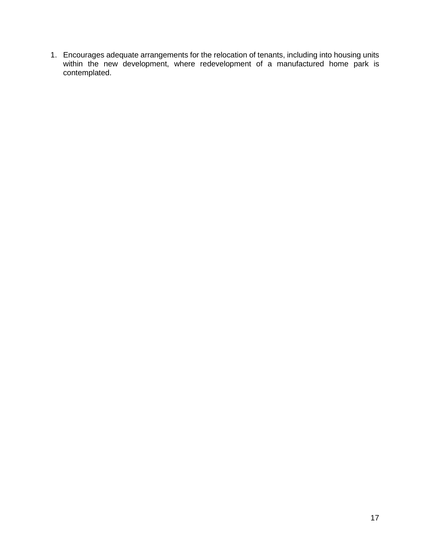1. Encourages adequate arrangements for the relocation of tenants, including into housing units within the new development, where redevelopment of a manufactured home park is contemplated.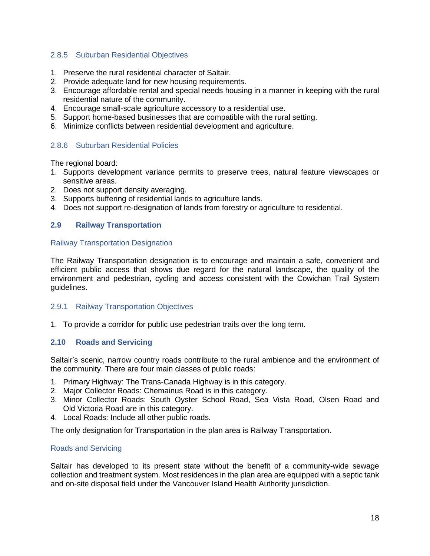### <span id="page-19-0"></span>2.8.5 Suburban Residential Objectives

- 1. Preserve the rural residential character of Saltair.
- 2. Provide adequate land for new housing requirements.
- 3. Encourage affordable rental and special needs housing in a manner in keeping with the rural residential nature of the community.
- 4. Encourage small-scale agriculture accessory to a residential use.
- 5. Support home-based businesses that are compatible with the rural setting.
- 6. Minimize conflicts between residential development and agriculture.

### <span id="page-19-1"></span>2.8.6 Suburban Residential Policies

The regional board:

- 1. Supports development variance permits to preserve trees, natural feature viewscapes or sensitive areas.
- 2. Does not support density averaging.
- 3. Supports buffering of residential lands to agriculture lands.
- 4. Does not support re-designation of lands from forestry or agriculture to residential.

### <span id="page-19-2"></span>**2.9 Railway Transportation**

#### Railway Transportation Designation

The Railway Transportation designation is to encourage and maintain a safe, convenient and efficient public access that shows due regard for the natural landscape, the quality of the environment and pedestrian, cycling and access consistent with the Cowichan Trail System guidelines.

### <span id="page-19-3"></span>2.9.1 Railway Transportation Objectives

1. To provide a corridor for public use pedestrian trails over the long term.

### <span id="page-19-4"></span>**2.10 Roads and Servicing**

Saltair's scenic, narrow country roads contribute to the rural ambience and the environment of the community. There are four main classes of public roads:

- 1. Primary Highway: The Trans-Canada Highway is in this category.
- 2. Major Collector Roads: Chemainus Road is in this category.
- 3. Minor Collector Roads: South Oyster School Road, Sea Vista Road, Olsen Road and Old Victoria Road are in this category.
- 4. Local Roads: Include all other public roads.

The only designation for Transportation in the plan area is Railway Transportation.

### Roads and Servicing

Saltair has developed to its present state without the benefit of a community-wide sewage collection and treatment system. Most residences in the plan area are equipped with a septic tank and on-site disposal field under the Vancouver Island Health Authority jurisdiction.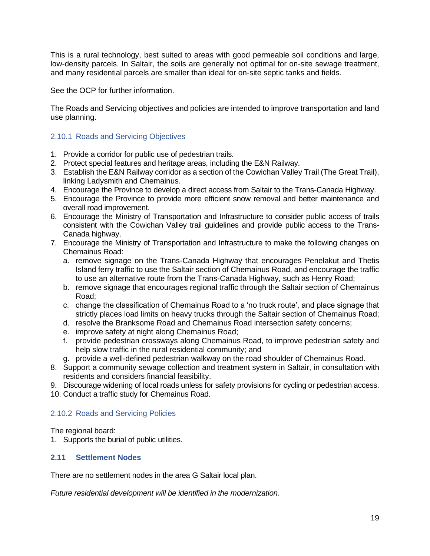This is a rural technology, best suited to areas with good permeable soil conditions and large, low-density parcels. In Saltair, the soils are generally not optimal for on-site sewage treatment, and many residential parcels are smaller than ideal for on-site septic tanks and fields.

See the OCP for further information.

The Roads and Servicing objectives and policies are intended to improve transportation and land use planning.

### <span id="page-20-0"></span>2.10.1 Roads and Servicing Objectives

- 1. Provide a corridor for public use of pedestrian trails.
- 2. Protect special features and heritage areas, including the E&N Railway.
- 3. Establish the E&N Railway corridor as a section of the Cowichan Valley Trail (The Great Trail), linking Ladysmith and Chemainus.
- 4. Encourage the Province to develop a direct access from Saltair to the Trans-Canada Highway.
- 5. Encourage the Province to provide more efficient snow removal and better maintenance and overall road improvement.
- 6. Encourage the Ministry of Transportation and Infrastructure to consider public access of trails consistent with the Cowichan Valley trail guidelines and provide public access to the Trans-Canada highway.
- 7. Encourage the Ministry of Transportation and Infrastructure to make the following changes on Chemainus Road:
	- a. remove signage on the Trans-Canada Highway that encourages Penelakut and Thetis Island ferry traffic to use the Saltair section of Chemainus Road, and encourage the traffic to use an alternative route from the Trans-Canada Highway, such as Henry Road;
	- b. remove signage that encourages regional traffic through the Saltair section of Chemainus Road;
	- c. change the classification of Chemainus Road to a 'no truck route', and place signage that strictly places load limits on heavy trucks through the Saltair section of Chemainus Road;
	- d. resolve the Branksome Road and Chemainus Road intersection safety concerns;
	- e. improve safety at night along Chemainus Road;
	- f. provide pedestrian crossways along Chemainus Road, to improve pedestrian safety and help slow traffic in the rural residential community; and
	- g. provide a well-defined pedestrian walkway on the road shoulder of Chemainus Road.
- 8. Support a community sewage collection and treatment system in Saltair, in consultation with residents and considers financial feasibility.
- 9. Discourage widening of local roads unless for safety provisions for cycling or pedestrian access.
- 10. Conduct a traffic study for Chemainus Road.

# <span id="page-20-1"></span>2.10.2 Roads and Servicing Policies

The regional board:

1. Supports the burial of public utilities.

### <span id="page-20-2"></span>**2.11 Settlement Nodes**

There are no settlement nodes in the area G Saltair local plan.

*Future residential development will be identified in the modernization.*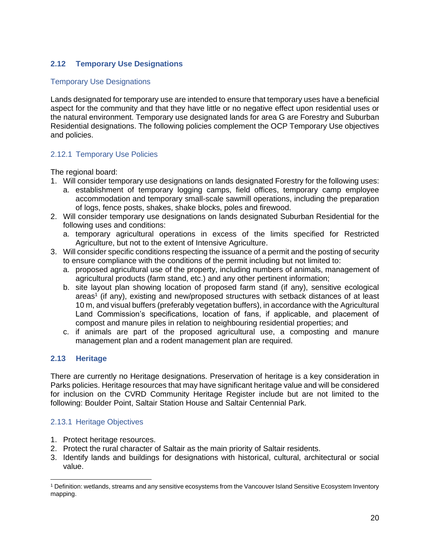# <span id="page-21-0"></span>**2.12 Temporary Use Designations**

### Temporary Use Designations

Lands designated for temporary use are intended to ensure that temporary uses have a beneficial aspect for the community and that they have little or no negative effect upon residential uses or the natural environment. Temporary use designated lands for area G are Forestry and Suburban Residential designations. The following policies complement the OCP Temporary Use objectives and policies.

## <span id="page-21-1"></span>2.12.1 Temporary Use Policies

The regional board:

- 1. Will consider temporary use designations on lands designated Forestry for the following uses:
	- a. establishment of temporary logging camps, field offices, temporary camp employee accommodation and temporary small-scale sawmill operations, including the preparation of logs, fence posts, shakes, shake blocks, poles and firewood.
- 2. Will consider temporary use designations on lands designated Suburban Residential for the following uses and conditions:
	- a. temporary agricultural operations in excess of the limits specified for Restricted Agriculture, but not to the extent of Intensive Agriculture.
- 3. Will consider specific conditions respecting the issuance of a permit and the posting of security to ensure compliance with the conditions of the permit including but not limited to:
	- a. proposed agricultural use of the property, including numbers of animals, management of agricultural products (farm stand, etc.) and any other pertinent information;
	- b. site layout plan showing location of proposed farm stand (if any), sensitive ecological areas<sup>1</sup> (if any), existing and new/proposed structures with setback distances of at least 10 m, and visual buffers (preferably vegetation buffers), in accordance with the Agricultural Land Commission's specifications, location of fans, if applicable, and placement of compost and manure piles in relation to neighbouring residential properties; and
	- c. if animals are part of the proposed agricultural use, a composting and manure management plan and a rodent management plan are required.

### <span id="page-21-2"></span>**2.13 Heritage**

There are currently no Heritage designations. Preservation of heritage is a key consideration in Parks policies. Heritage resources that may have significant heritage value and will be considered for inclusion on the CVRD Community Heritage Register include but are not limited to the following: Boulder Point, Saltair Station House and Saltair Centennial Park.

### <span id="page-21-3"></span>2.13.1 Heritage Objectives

- 1. Protect heritage resources.
- 2. Protect the rural character of Saltair as the main priority of Saltair residents.
- 3. Identify lands and buildings for designations with historical, cultural, architectural or social value.

<sup>1</sup> Definition: wetlands, streams and any sensitive ecosystems from the Vancouver Island Sensitive Ecosystem Inventory mapping.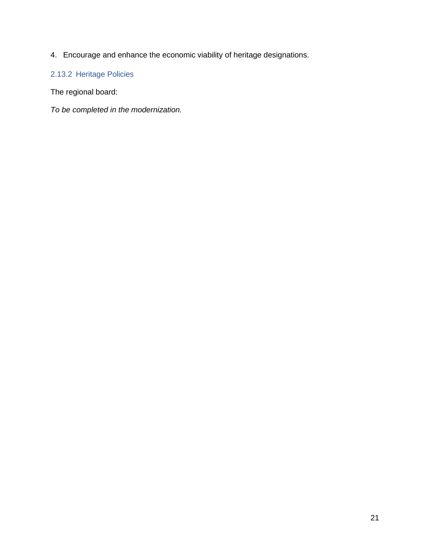4. Encourage and enhance the economic viability of heritage designations.

# <span id="page-22-0"></span>2.13.2 Heritage Policies

The regional board:

*To be completed in the modernization.*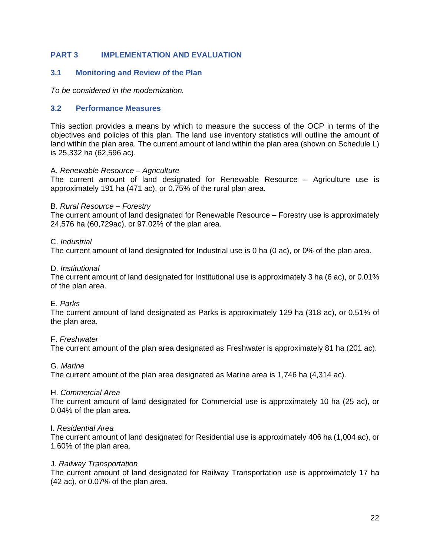### <span id="page-23-0"></span>**PART 3 IMPLEMENTATION AND EVALUATION**

### <span id="page-23-1"></span>**3.1 Monitoring and Review of the Plan**

*To be considered in the modernization.* 

### <span id="page-23-2"></span>**3.2 Performance Measures**

This section provides a means by which to measure the success of the OCP in terms of the objectives and policies of this plan. The land use inventory statistics will outline the amount of land within the plan area. The current amount of land within the plan area (shown on Schedule L) is 25,332 ha (62,596 ac).

#### A. *Renewable Resource – Agriculture*

The current amount of land designated for Renewable Resource – Agriculture use is approximately 191 ha (471 ac), or 0.75% of the rural plan area.

#### B. *Rural Resource – Forestry*

The current amount of land designated for Renewable Resource – Forestry use is approximately 24,576 ha (60,729ac), or 97.02% of the plan area.

#### C. *Industrial*

The current amount of land designated for Industrial use is 0 ha (0 ac), or 0% of the plan area.

#### D. *Institutional*

The current amount of land designated for Institutional use is approximately 3 ha (6 ac), or 0.01% of the plan area.

### E. *Parks*

The current amount of land designated as Parks is approximately 129 ha (318 ac), or 0.51% of the plan area.

#### F. *Freshwater*

The current amount of the plan area designated as Freshwater is approximately 81 ha (201 ac).

#### G. *Marine*

The current amount of the plan area designated as Marine area is 1,746 ha (4,314 ac).

#### H. *Commercial Area*

The current amount of land designated for Commercial use is approximately 10 ha (25 ac), or 0.04% of the plan area.

#### I. *Residential Area*

The current amount of land designated for Residential use is approximately 406 ha (1,004 ac), or 1.60% of the plan area.

#### J. *Railway Transportation*

The current amount of land designated for Railway Transportation use is approximately 17 ha (42 ac), or 0.07% of the plan area.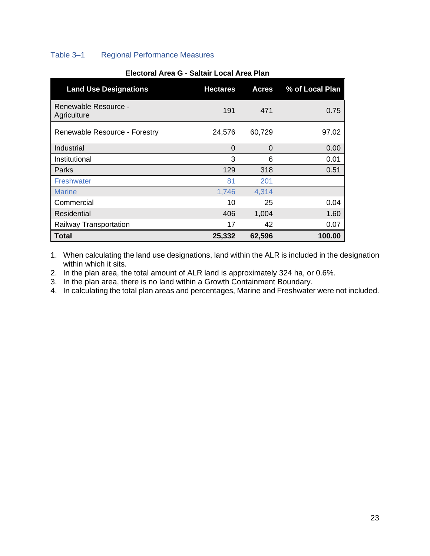# <span id="page-24-0"></span>Table 3–1 Regional Performance Measures

| <b>Land Use Designations</b>        | <b>Hectares</b> | <b>Acres</b> | % of Local Plan |
|-------------------------------------|-----------------|--------------|-----------------|
| Renewable Resource -<br>Agriculture | 191             | 471          | 0.75            |
| Renewable Resource - Forestry       | 24,576          | 60,729       | 97.02           |
| Industrial                          | $\Omega$        | $\Omega$     | 0.00            |
| Institutional                       | 3               | 6            | 0.01            |
| Parks                               | 129             | 318          | 0.51            |
| <b>Freshwater</b>                   | 81              | 201          |                 |
| <b>Marine</b>                       | 1,746           | 4,314        |                 |
| Commercial                          | 10              | 25           | 0.04            |
| Residential                         | 406             | 1,004        | 1.60            |
| Railway Transportation              | 17              | 42           | 0.07            |
| Total                               | 25,332          | 62,596       | 100.00          |

### **Electoral Area G - Saltair Local Area Plan**

1. When calculating the land use designations, land within the ALR is included in the designation within which it sits.

2. In the plan area, the total amount of ALR land is approximately 324 ha, or 0.6%.

3. In the plan area, there is no land within a Growth Containment Boundary.

4. In calculating the total plan areas and percentages, Marine and Freshwater were not included.